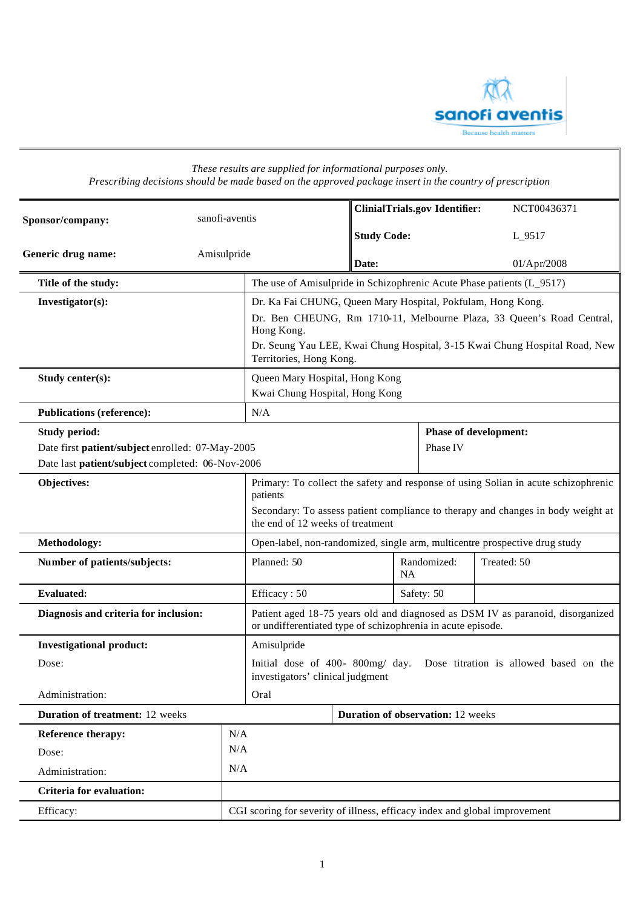

| Prescribing decisions should be made based on the approved package insert in the country of prescription |             | These results are supplied for informational purposes only.                                                                                                                                                                                                 |                                      |                          |                              |             |
|----------------------------------------------------------------------------------------------------------|-------------|-------------------------------------------------------------------------------------------------------------------------------------------------------------------------------------------------------------------------------------------------------------|--------------------------------------|--------------------------|------------------------------|-------------|
| sanofi-aventis<br>Sponsor/company:                                                                       |             |                                                                                                                                                                                                                                                             | <b>ClinialTrials.gov Identifier:</b> |                          |                              | NCT00436371 |
|                                                                                                          |             | <b>Study Code:</b>                                                                                                                                                                                                                                          |                                      | L_9517                   |                              |             |
| Generic drug name:                                                                                       | Amisulpride |                                                                                                                                                                                                                                                             |                                      |                          |                              |             |
|                                                                                                          |             | Date:                                                                                                                                                                                                                                                       |                                      |                          | 01/Apr/2008                  |             |
| Title of the study:                                                                                      |             | The use of Amisulpride in Schizophrenic Acute Phase patients (L_9517)                                                                                                                                                                                       |                                      |                          |                              |             |
| Investigator(s):                                                                                         |             | Dr. Ka Fai CHUNG, Queen Mary Hospital, Pokfulam, Hong Kong.<br>Dr. Ben CHEUNG, Rm 1710-11, Melbourne Plaza, 33 Queen's Road Central,<br>Hong Kong.<br>Dr. Seung Yau LEE, Kwai Chung Hospital, 3-15 Kwai Chung Hospital Road, New<br>Territories, Hong Kong. |                                      |                          |                              |             |
| Study center(s):                                                                                         |             | Queen Mary Hospital, Hong Kong<br>Kwai Chung Hospital, Hong Kong                                                                                                                                                                                            |                                      |                          |                              |             |
| <b>Publications (reference):</b>                                                                         |             | N/A                                                                                                                                                                                                                                                         |                                      |                          |                              |             |
| <b>Study period:</b>                                                                                     |             |                                                                                                                                                                                                                                                             |                                      |                          | <b>Phase of development:</b> |             |
| Date first patient/subject enrolled: 07-May-2005                                                         |             | Phase IV                                                                                                                                                                                                                                                    |                                      |                          |                              |             |
| Date last patient/subject completed: 06-Nov-2006                                                         |             |                                                                                                                                                                                                                                                             |                                      |                          |                              |             |
| Objectives:                                                                                              |             | Primary: To collect the safety and response of using Solian in acute schizophrenic<br>patients                                                                                                                                                              |                                      |                          |                              |             |
|                                                                                                          |             | Secondary: To assess patient compliance to therapy and changes in body weight at<br>the end of 12 weeks of treatment                                                                                                                                        |                                      |                          |                              |             |
| Methodology:                                                                                             |             | Open-label, non-randomized, single arm, multicentre prospective drug study                                                                                                                                                                                  |                                      |                          |                              |             |
| Number of patients/subjects:                                                                             |             | Planned: 50                                                                                                                                                                                                                                                 |                                      | Randomized:<br><b>NA</b> |                              | Treated: 50 |
| <b>Evaluated:</b>                                                                                        |             | Efficacy: 50                                                                                                                                                                                                                                                |                                      | Safety: 50               |                              |             |
| Diagnosis and criteria for inclusion:                                                                    |             | Patient aged 18-75 years old and diagnosed as DSM IV as paranoid, disorganized<br>or undifferentiated type of schizophrenia in acute episode.                                                                                                               |                                      |                          |                              |             |
| <b>Investigational product:</b>                                                                          |             | Amisulpride                                                                                                                                                                                                                                                 |                                      |                          |                              |             |
| Dose:                                                                                                    |             | Initial dose of 400-800mg/ day. Dose titration is allowed based on the<br>investigators' clinical judgment                                                                                                                                                  |                                      |                          |                              |             |
| Administration:                                                                                          |             | Oral                                                                                                                                                                                                                                                        |                                      |                          |                              |             |
| <b>Duration of treatment: 12 weeks</b>                                                                   |             | <b>Duration of observation:</b> 12 weeks                                                                                                                                                                                                                    |                                      |                          |                              |             |
| N/A<br>Reference therapy:                                                                                |             |                                                                                                                                                                                                                                                             |                                      |                          |                              |             |
| Dose:                                                                                                    | N/A         |                                                                                                                                                                                                                                                             |                                      |                          |                              |             |
| Administration:                                                                                          | N/A         |                                                                                                                                                                                                                                                             |                                      |                          |                              |             |
| <b>Criteria for evaluation:</b>                                                                          |             |                                                                                                                                                                                                                                                             |                                      |                          |                              |             |
| Efficacy:                                                                                                |             | CGI scoring for severity of illness, efficacy index and global improvement                                                                                                                                                                                  |                                      |                          |                              |             |